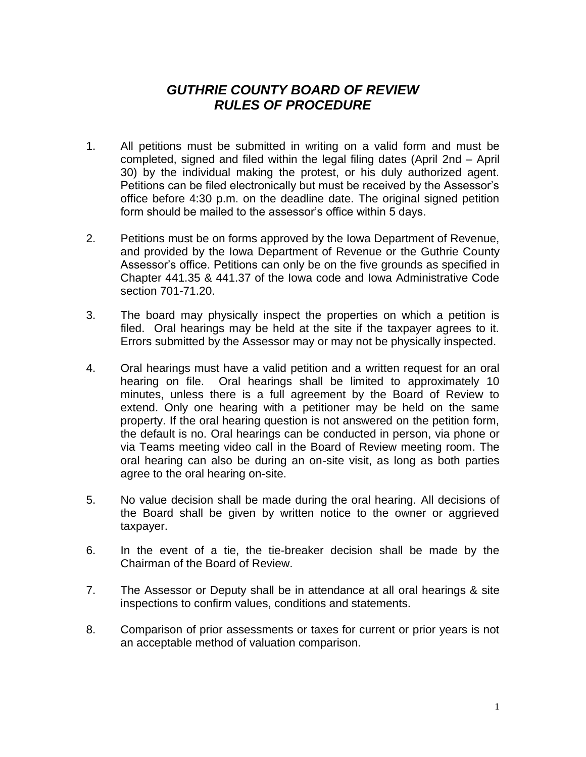## *GUTHRIE COUNTY BOARD OF REVIEW RULES OF PROCEDURE*

- 1. All petitions must be submitted in writing on a valid form and must be completed, signed and filed within the legal filing dates (April 2nd – April 30) by the individual making the protest, or his duly authorized agent. Petitions can be filed electronically but must be received by the Assessor's office before 4:30 p.m. on the deadline date. The original signed petition form should be mailed to the assessor's office within 5 days.
- 2. Petitions must be on forms approved by the Iowa Department of Revenue, and provided by the Iowa Department of Revenue or the Guthrie County Assessor's office. Petitions can only be on the five grounds as specified in Chapter 441.35 & 441.37 of the Iowa code and Iowa Administrative Code section 701-71.20.
- 3. The board may physically inspect the properties on which a petition is filed. Oral hearings may be held at the site if the taxpayer agrees to it. Errors submitted by the Assessor may or may not be physically inspected.
- 4. Oral hearings must have a valid petition and a written request for an oral hearing on file. Oral hearings shall be limited to approximately 10 minutes, unless there is a full agreement by the Board of Review to extend. Only one hearing with a petitioner may be held on the same property. If the oral hearing question is not answered on the petition form, the default is no. Oral hearings can be conducted in person, via phone or via Teams meeting video call in the Board of Review meeting room. The oral hearing can also be during an on-site visit, as long as both parties agree to the oral hearing on-site.
- 5. No value decision shall be made during the oral hearing. All decisions of the Board shall be given by written notice to the owner or aggrieved taxpayer.
- 6. In the event of a tie, the tie-breaker decision shall be made by the Chairman of the Board of Review.
- 7. The Assessor or Deputy shall be in attendance at all oral hearings & site inspections to confirm values, conditions and statements.
- 8. Comparison of prior assessments or taxes for current or prior years is not an acceptable method of valuation comparison.